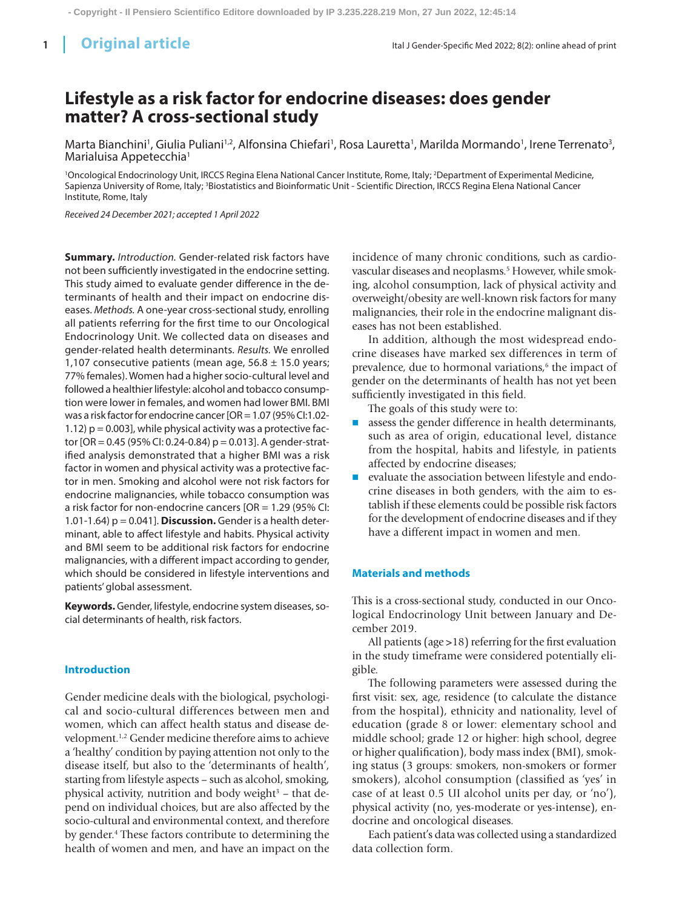# **Lifestyle as a risk factor for endocrine diseases: does gender matter? A cross-sectional study**

Marta Bianchini<sup>1</sup>, Giulia Puliani<sup>1,2</sup>, Alfonsina Chiefari<sup>1</sup>, Rosa Lauretta<sup>1</sup>, Marilda Mormando<sup>1</sup>, Irene Terrenato<sup>3</sup>, Marialuisa Appetecchia<sup>1</sup>

1 Oncological Endocrinology Unit, IRCCS Regina Elena National Cancer Institute, Rome, Italy; 2 Department of Experimental Medicine, Sapienza University of Rome, Italy; <sup>3</sup>Biostatistics and Bioinformatic Unit - Scientific Direction, IRCCS Regina Elena National Cancer Institute, Rome, Italy

*Received 24 December 2021; accepted 1 April 2022*

**Summary.** *Introduction.* Gender-related risk factors have not been sufficiently investigated in the endocrine setting. This study aimed to evaluate gender difference in the determinants of health and their impact on endocrine diseases. *Methods.* A one-year cross-sectional study, enrolling all patients referring for the first time to our Oncological Endocrinology Unit. We collected data on diseases and gender-related health determinants. *Results.* We enrolled 1,107 consecutive patients (mean age,  $56.8 \pm 15.0$  years; 77% females). Women had a higher socio-cultural level and followed a healthier lifestyle: alcohol and tobacco consumption were lower in females, and women had lower BMI. BMI was a risk factor for endocrine cancer [OR = 1.07 (95% CI:1.02- 1.12)  $p = 0.003$ , while physical activity was a protective factor  $[OR = 0.45 (95\% CI: 0.24-0.84) p = 0.013]$ . A gender-stratified analysis demonstrated that a higher BMI was a risk factor in women and physical activity was a protective factor in men. Smoking and alcohol were not risk factors for endocrine malignancies, while tobacco consumption was a risk factor for non-endocrine cancers [OR = 1.29 (95% CI: 1.01-1.64) p = 0.041]. **Discussion.** Gender is a health determinant, able to affect lifestyle and habits. Physical activity and BMI seem to be additional risk factors for endocrine malignancies, with a different impact according to gender, which should be considered in lifestyle interventions and patients' global assessment.

**Keywords.** Gender, lifestyle, endocrine system diseases, social determinants of health, risk factors.

## **Introduction**

Gender medicine deals with the biological, psychological and socio-cultural differences between men and women, which can affect health status and disease development.1,2 Gender medicine therefore aims to achieve a 'healthy' condition by paying attention not only to the disease itself, but also to the 'determinants of health', starting from lifestyle aspects – such as alcohol, smoking, physical activity, nutrition and body weight<sup>3</sup> – that depend on individual choices, but are also affected by the socio-cultural and environmental context, and therefore by gender.4 These factors contribute to determining the health of women and men, and have an impact on the

incidence of many chronic conditions, such as cardiovascular diseases and neoplasms.<sup>5</sup> However, while smoking, alcohol consumption, lack of physical activity and overweight/obesity are well-known risk factors for many malignancies, their role in the endocrine malignant diseases has not been established.

In addition, although the most widespread endocrine diseases have marked sex differences in term of prevalence, due to hormonal variations,<sup>6</sup> the impact of gender on the determinants of health has not yet been sufficiently investigated in this field.

The goals of this study were to:

- assess the gender difference in health determinants, such as area of origin, educational level, distance from the hospital, habits and lifestyle, in patients affected by endocrine diseases;
- **n** evaluate the association between lifestyle and endocrine diseases in both genders, with the aim to establish if these elements could be possible risk factors for the development of endocrine diseases and if they have a different impact in women and men.

# **Materials and methods**

This is a cross-sectional study, conducted in our Oncological Endocrinology Unit between January and December 2019.

All patients (age >18) referring for the first evaluation in the study timeframe were considered potentially eligible.

The following parameters were assessed during the first visit: sex, age, residence (to calculate the distance from the hospital), ethnicity and nationality, level of education (grade 8 or lower: elementary school and middle school; grade 12 or higher: high school, degree or higher qualification), body mass index (BMI), smoking status (3 groups: smokers, non-smokers or former smokers), alcohol consumption (classified as 'yes' in case of at least 0.5 UI alcohol units per day, or 'no'), physical activity (no, yes-moderate or yes-intense), endocrine and oncological diseases.

Each patient's data was collected using a standardized data collection form.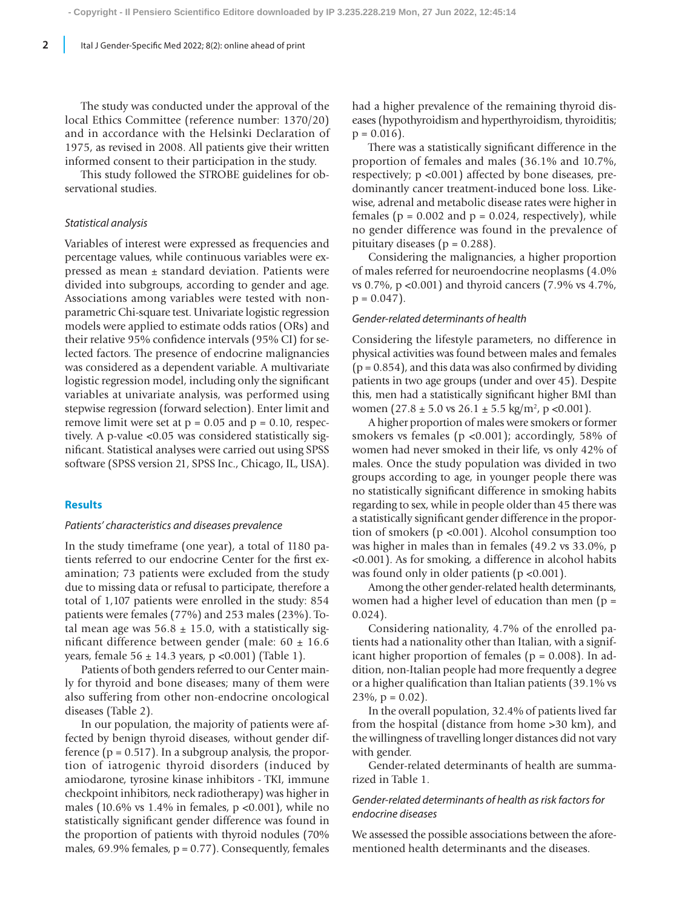The study was conducted under the approval of the local Ethics Committee (reference number: 1370/20) and in accordance with the Helsinki Declaration of 1975, as revised in 2008. All patients give their written informed consent to their participation in the study.

This study followed the STROBE guidelines for observational studies.

#### *Statistical analysis*

Variables of interest were expressed as frequencies and percentage values, while continuous variables were expressed as mean ± standard deviation. Patients were divided into subgroups, according to gender and age. Associations among variables were tested with nonparametric Chi-square test. Univariate logistic regression models were applied to estimate odds ratios (ORs) and their relative 95% confidence intervals (95% CI) for selected factors. The presence of endocrine malignancies was considered as a dependent variable. A multivariate logistic regression model, including only the significant variables at univariate analysis, was performed using stepwise regression (forward selection). Enter limit and remove limit were set at  $p = 0.05$  and  $p = 0.10$ , respectively. A p-value <0.05 was considered statistically significant. Statistical analyses were carried out using SPSS software (SPSS version 21, SPSS Inc., Chicago, IL, USA).

## **Results**

### *Patients' characteristics and diseases prevalence*

In the study timeframe (one year), a total of 1180 patients referred to our endocrine Center for the first examination; 73 patients were excluded from the study due to missing data or refusal to participate, therefore a total of 1,107 patients were enrolled in the study: 854 patients were females (77%) and 253 males (23%). Total mean age was  $56.8 \pm 15.0$ , with a statistically significant difference between gender (male: 60 ± 16.6 years, female 56 ± 14.3 years, p <0.001) (Table 1).

Patients of both genders referred to our Center mainly for thyroid and bone diseases; many of them were also suffering from other non-endocrine oncological diseases (Table 2).

In our population, the majority of patients were affected by benign thyroid diseases, without gender difference  $(p = 0.517)$ . In a subgroup analysis, the proportion of iatrogenic thyroid disorders (induced by amiodarone, tyrosine kinase inhibitors - TKI, immune checkpoint inhibitors, neck radiotherapy) was higher in males (10.6% vs  $1.4\%$  in females, p <0.001), while no statistically significant gender difference was found in the proportion of patients with thyroid nodules (70% males, 69.9% females,  $p = 0.77$ ). Consequently, females had a higher prevalence of the remaining thyroid diseases (hypothyroidism and hyperthyroidism, thyroiditis;  $p = 0.016$ .

There was a statistically significant difference in the proportion of females and males (36.1% and 10.7%, respectively; p <0.001) affected by bone diseases, predominantly cancer treatment-induced bone loss. Likewise, adrenal and metabolic disease rates were higher in females ( $p = 0.002$  and  $p = 0.024$ , respectively), while no gender difference was found in the prevalence of pituitary diseases ( $p = 0.288$ ).

Considering the malignancies, a higher proportion of males referred for neuroendocrine neoplasms (4.0% vs 0.7%, p <0.001) and thyroid cancers (7.9% vs 4.7%,  $p = 0.047$ ).

## *Gender-related determinants of health*

Considering the lifestyle parameters, no difference in physical activities was found between males and females  $(p = 0.854)$ , and this data was also confirmed by dividing patients in two age groups (under and over 45). Despite this, men had a statistically significant higher BMI than women  $(27.8 \pm 5.0 \text{ vs } 26.1 \pm 5.5 \text{ kg/m}^2, \text{ p } < 0.001)$ .

A higher proportion of males were smokers or former smokers vs females (p <0.001); accordingly, 58% of women had never smoked in their life, vs only 42% of males. Once the study population was divided in two groups according to age, in younger people there was no statistically significant difference in smoking habits regarding to sex, while in people older than 45 there was a statistically significant gender difference in the proportion of smokers (p <0.001). Alcohol consumption too was higher in males than in females (49.2 vs 33.0%, p <0.001). As for smoking, a difference in alcohol habits was found only in older patients (p <0.001).

Among the other gender-related health determinants, women had a higher level of education than men (p = 0.024).

Considering nationality, 4.7% of the enrolled patients had a nationality other than Italian, with a significant higher proportion of females ( $p = 0.008$ ). In addition, non-Italian people had more frequently a degree or a higher qualification than Italian patients (39.1% vs  $23\%, p = 0.02$ .

In the overall population, 32.4% of patients lived far from the hospital (distance from home >30 km), and the willingness of travelling longer distances did not vary with gender.

Gender-related determinants of health are summarized in Table 1.

# *Gender-related determinants of health as risk factors for endocrine diseases*

We assessed the possible associations between the aforementioned health determinants and the diseases.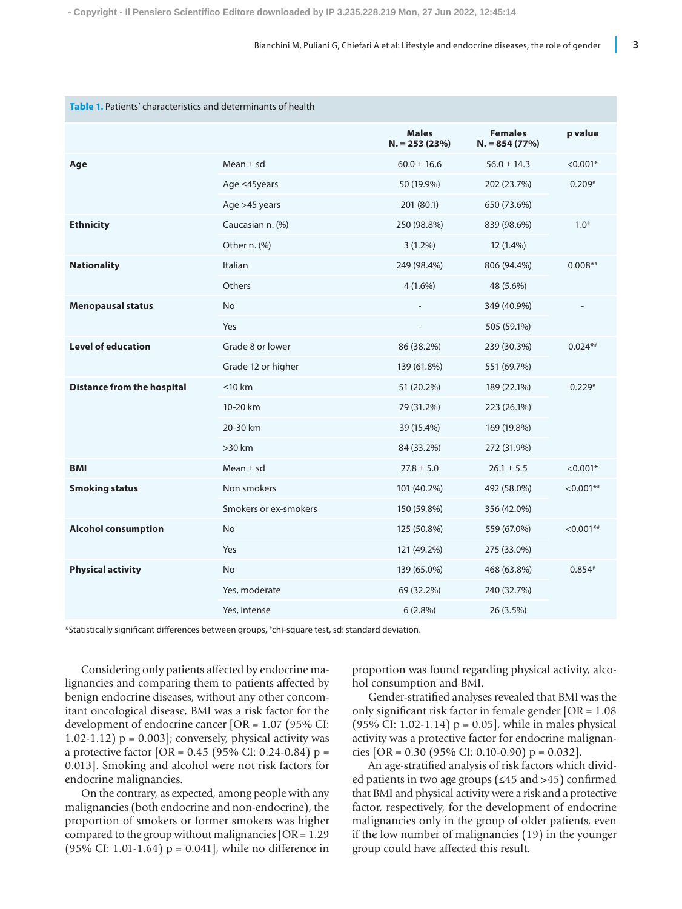| Table 1. Patients' characteristics and determinants of health |                       |                                |                                  |              |  |
|---------------------------------------------------------------|-----------------------|--------------------------------|----------------------------------|--------------|--|
|                                                               |                       | <b>Males</b><br>$N = 253(23%)$ | <b>Females</b><br>$N = 854(77%)$ | p value      |  |
| Age                                                           | Mean $\pm$ sd         | $60.0 \pm 16.6$                | $56.0 \pm 14.3$                  | $< 0.001*$   |  |
|                                                               | Age ≤45years          | 50 (19.9%)                     | 202 (23.7%)                      | $0.209*$     |  |
|                                                               | Age >45 years         | 201 (80.1)                     | 650 (73.6%)                      |              |  |
| <b>Ethnicity</b>                                              | Caucasian n. (%)      | 250 (98.8%)                    | 839 (98.6%)                      | $1.0^{#}$    |  |
|                                                               | Other n. (%)          | $3(1.2\%)$                     | 12 (1.4%)                        |              |  |
| <b>Nationality</b>                                            | Italian               | 249 (98.4%)                    | 806 (94.4%)                      | $0.008**$    |  |
|                                                               | Others                | $4(1.6\%)$                     | 48 (5.6%)                        |              |  |
| <b>Menopausal status</b>                                      | No                    |                                | 349 (40.9%)                      |              |  |
|                                                               | Yes                   |                                | 505 (59.1%)                      |              |  |
| <b>Level of education</b>                                     | Grade 8 or lower      | 86 (38.2%)                     | 239 (30.3%)                      | $0.024**$    |  |
|                                                               | Grade 12 or higher    | 139 (61.8%)                    | 551 (69.7%)                      |              |  |
| <b>Distance from the hospital</b>                             | $≤10 km$              | 51 (20.2%)                     | 189 (22.1%)                      | $0.229*$     |  |
|                                                               | 10-20 km              | 79 (31.2%)                     | 223 (26.1%)                      |              |  |
|                                                               | 20-30 km              | 39 (15.4%)                     | 169 (19.8%)                      |              |  |
|                                                               | $>30$ km              | 84 (33.2%)                     | 272 (31.9%)                      |              |  |
| <b>BMI</b>                                                    | Mean $\pm$ sd         | $27.8 \pm 5.0$                 | $26.1 \pm 5.5$                   | $< 0.001*$   |  |
| <b>Smoking status</b>                                         | Non smokers           | 101 (40.2%)                    | 492 (58.0%)                      | $< 0.001$ ** |  |
|                                                               | Smokers or ex-smokers | 150 (59.8%)                    | 356 (42.0%)                      |              |  |
| <b>Alcohol consumption</b>                                    | <b>No</b>             | 125 (50.8%)                    | 559 (67.0%)                      | $< 0.001**$  |  |
|                                                               | Yes                   | 121 (49.2%)                    | 275 (33.0%)                      |              |  |
| <b>Physical activity</b>                                      | <b>No</b>             | 139 (65.0%)                    | 468 (63.8%)                      | $0.854*$     |  |
|                                                               | Yes, moderate         | 69 (32.2%)                     | 240 (32.7%)                      |              |  |
|                                                               | Yes, intense          | $6(2.8\%)$                     | 26 (3.5%)                        |              |  |

\*Statistically significant differences between groups, # chi-square test, sd: standard deviation.

Considering only patients affected by endocrine malignancies and comparing them to patients affected by benign endocrine diseases, without any other concomitant oncological disease, BMI was a risk factor for the development of endocrine cancer [OR = 1.07 (95% CI: 1.02-1.12)  $p = 0.003$ ; conversely, physical activity was a protective factor [OR = 0.45 (95% CI: 0.24-0.84) p = 0.013]. Smoking and alcohol were not risk factors for endocrine malignancies.

On the contrary, as expected, among people with any malignancies (both endocrine and non-endocrine), the proportion of smokers or former smokers was higher compared to the group without malignancies [OR = 1.29 (95% CI: 1.01-1.64)  $p = 0.041$ , while no difference in

proportion was found regarding physical activity, alcohol consumption and BMI.

Gender-stratified analyses revealed that BMI was the only significant risk factor in female gender [OR = 1.08 (95% CI: 1.02-1.14)  $p = 0.05$ , while in males physical activity was a protective factor for endocrine malignancies  $[OR = 0.30 (95\% CI: 0.10-0.90) p = 0.032]$ .

An age-stratified analysis of risk factors which divided patients in two age groups (≤45 and >45) confirmed that BMI and physical activity were a risk and a protective factor, respectively, for the development of endocrine malignancies only in the group of older patients, even if the low number of malignancies (19) in the younger group could have affected this result.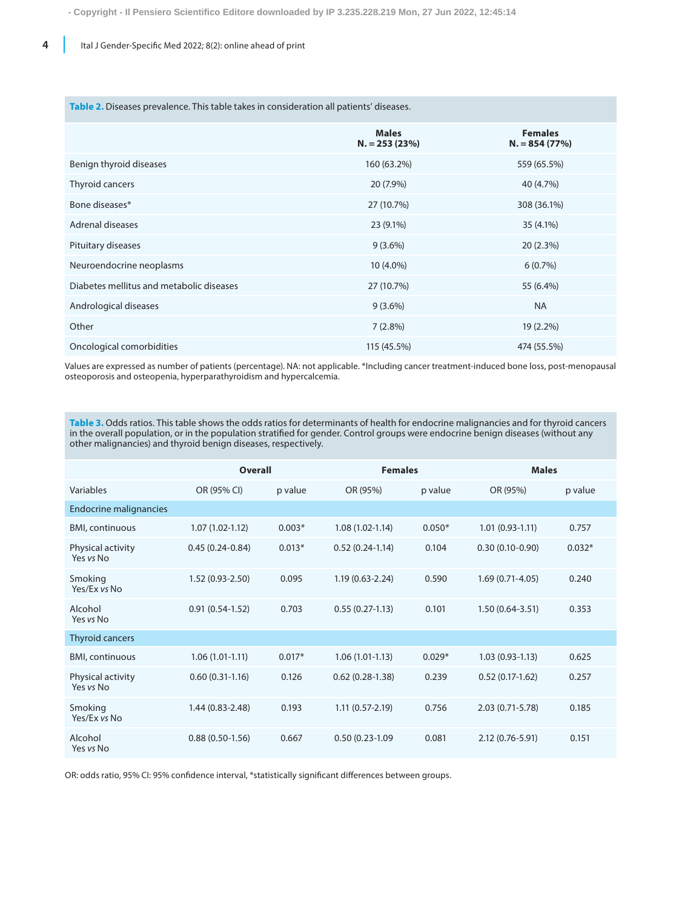**4** Ital J Gender-Specific Med 2022; 8(2): online ahead of print

#### Table 2. Diseases prevalence. This table takes in consideration all patients' diseases.

|                                          | <b>Males</b><br>$N = 253(23%)$ | <b>Females</b><br>$N = 854(77%)$ |
|------------------------------------------|--------------------------------|----------------------------------|
| Benign thyroid diseases                  | 160 (63.2%)                    | 559 (65.5%)                      |
| Thyroid cancers                          | 20 (7.9%)                      | 40 (4.7%)                        |
| Bone diseases*                           | 27 (10.7%)                     | 308 (36.1%)                      |
| Adrenal diseases                         | 23 (9.1%)                      | 35 (4.1%)                        |
| Pituitary diseases                       | $9(3.6\%)$                     | 20(2.3%)                         |
| Neuroendocrine neoplasms                 | 10 (4.0%)                      | 6(0.7%)                          |
| Diabetes mellitus and metabolic diseases | 27 (10.7%)                     | 55 (6.4%)                        |
| Andrological diseases                    | $9(3.6\%)$                     | <b>NA</b>                        |
| Other                                    | $7(2.8\%)$                     | 19 (2.2%)                        |
| Oncological comorbidities                | 115 (45.5%)                    | 474 (55.5%)                      |

Values are expressed as number of patients (percentage). NA: not applicable. \*Including cancer treatment-induced bone loss, post-menopausal osteoporosis and osteopenia, hyperparathyroidism and hypercalcemia.

**Table 3.** Odds ratios. This table shows the odds ratios for determinants of health for endocrine malignancies and for thyroid cancers in the overall population, or in the population stratified for gender. Control groups were endocrine benign diseases (without any other malignancies) and thyroid benign diseases, respectively.

|                                | <b>Overall</b>      |          | <b>Females</b>      |          |                     | <b>Males</b> |  |
|--------------------------------|---------------------|----------|---------------------|----------|---------------------|--------------|--|
| Variables                      | OR (95% CI)         | p value  | OR (95%)            | p value  | OR (95%)            | p value      |  |
| <b>Endocrine malignancies</b>  |                     |          |                     |          |                     |              |  |
| <b>BMI, continuous</b>         | $1.07(1.02 - 1.12)$ | $0.003*$ | $1.08(1.02-1.14)$   | $0.050*$ | $1.01(0.93-1.11)$   | 0.757        |  |
| Physical activity<br>Yes vs No | $0.45(0.24 - 0.84)$ | $0.013*$ | $0.52(0.24-1.14)$   | 0.104    | $0.30(0.10-0.90)$   | $0.032*$     |  |
| Smoking<br>Yes/Ex vs No        | $1.52(0.93 - 2.50)$ | 0.095    | $1.19(0.63 - 2.24)$ | 0.590    | $1.69(0.71 - 4.05)$ | 0.240        |  |
| Alcohol<br>Yes vs No           | $0.91(0.54-1.52)$   | 0.703    | $0.55(0.27-1.13)$   | 0.101    | $1.50(0.64 - 3.51)$ | 0.353        |  |
| <b>Thyroid cancers</b>         |                     |          |                     |          |                     |              |  |
| <b>BMI, continuous</b>         | $1.06(1.01-1.11)$   | $0.017*$ | $1.06(1.01-1.13)$   | $0.029*$ | $1.03(0.93-1.13)$   | 0.625        |  |
| Physical activity<br>Yes vs No | $0.60(0.31-1.16)$   | 0.126    | $0.62(0.28-1.38)$   | 0.239    | $0.52(0.17-1.62)$   | 0.257        |  |
| Smoking<br>Yes/Ex vs No        | $1.44(0.83 - 2.48)$ | 0.193    | $1.11(0.57 - 2.19)$ | 0.756    | 2.03 (0.71-5.78)    | 0.185        |  |
| Alcohol<br>Yes vs No           | $0.88(0.50-1.56)$   | 0.667    | $0.50(0.23-1.09)$   | 0.081    | 2.12 (0.76-5.91)    | 0.151        |  |

OR: odds ratio, 95% CI: 95% confidence interval, \*statistically significant differences between groups.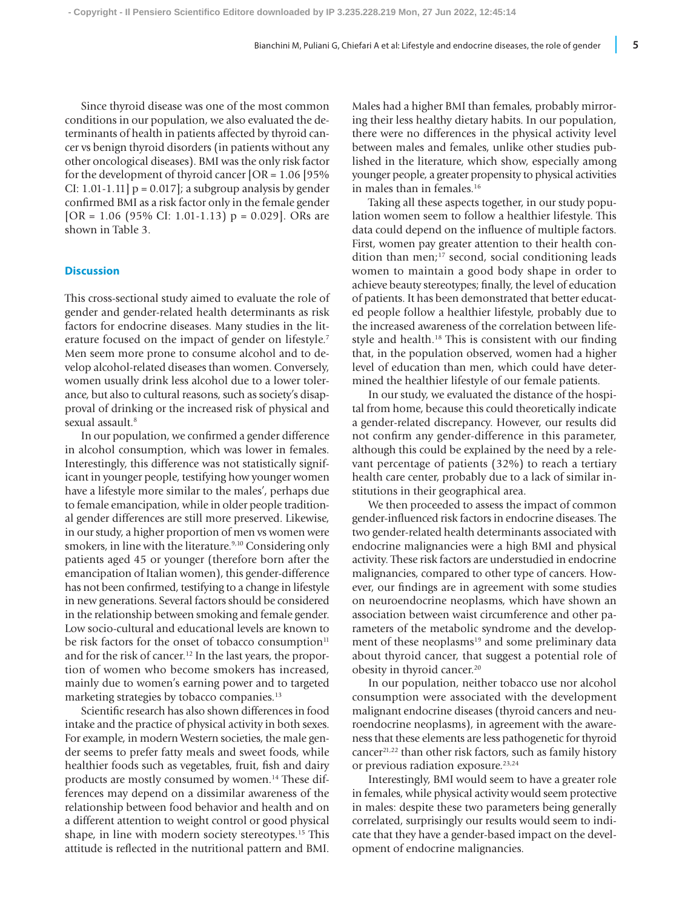Since thyroid disease was one of the most common conditions in our population, we also evaluated the determinants of health in patients affected by thyroid cancer vs benign thyroid disorders (in patients without any other oncological diseases). BMI was the only risk factor for the development of thyroid cancer [OR = 1.06 [95% CI: 1.01-1.11]  $p = 0.017$ ; a subgroup analysis by gender confirmed BMI as a risk factor only in the female gender [OR =  $1.06$  (95% CI: 1.01-1.13) p = 0.029]. ORs are shown in Table 3.

# **Discussion**

This cross-sectional study aimed to evaluate the role of gender and gender-related health determinants as risk factors for endocrine diseases. Many studies in the literature focused on the impact of gender on lifestyle.7 Men seem more prone to consume alcohol and to develop alcohol-related diseases than women. Conversely, women usually drink less alcohol due to a lower tolerance, but also to cultural reasons, such as society's disapproval of drinking or the increased risk of physical and sexual assault.<sup>8</sup>

In our population, we confirmed a gender difference in alcohol consumption, which was lower in females. Interestingly, this difference was not statistically significant in younger people, testifying how younger women have a lifestyle more similar to the males', perhaps due to female emancipation, while in older people traditional gender differences are still more preserved. Likewise, in our study, a higher proportion of men vs women were smokers, in line with the literature.<sup>9,10</sup> Considering only patients aged 45 or younger (therefore born after the emancipation of Italian women), this gender-difference has not been confirmed, testifying to a change in lifestyle in new generations. Several factors should be considered in the relationship between smoking and female gender. Low socio-cultural and educational levels are known to be risk factors for the onset of tobacco consumption<sup>11</sup> and for the risk of cancer.12 In the last years, the proportion of women who become smokers has increased, mainly due to women's earning power and to targeted marketing strategies by tobacco companies.<sup>13</sup>

Scientific research has also shown differences in food intake and the practice of physical activity in both sexes. For example, in modern Western societies, the male gender seems to prefer fatty meals and sweet foods, while healthier foods such as vegetables, fruit, fish and dairy products are mostly consumed by women.<sup>14</sup> These differences may depend on a dissimilar awareness of the relationship between food behavior and health and on a different attention to weight control or good physical shape, in line with modern society stereotypes.15 This attitude is reflected in the nutritional pattern and BMI. Males had a higher BMI than females, probably mirroring their less healthy dietary habits. In our population, there were no differences in the physical activity level between males and females, unlike other studies published in the literature, which show, especially among younger people, a greater propensity to physical activities in males than in females.<sup>16</sup>

Taking all these aspects together, in our study population women seem to follow a healthier lifestyle. This data could depend on the influence of multiple factors. First, women pay greater attention to their health condition than men; $^{17}$  second, social conditioning leads women to maintain a good body shape in order to achieve beauty stereotypes; finally, the level of education of patients. It has been demonstrated that better educated people follow a healthier lifestyle, probably due to the increased awareness of the correlation between lifestyle and health.<sup>18</sup> This is consistent with our finding that, in the population observed, women had a higher level of education than men, which could have determined the healthier lifestyle of our female patients.

In our study, we evaluated the distance of the hospital from home, because this could theoretically indicate a gender-related discrepancy. However, our results did not confirm any gender-difference in this parameter, although this could be explained by the need by a relevant percentage of patients (32%) to reach a tertiary health care center, probably due to a lack of similar institutions in their geographical area.

We then proceeded to assess the impact of common gender-influenced risk factors in endocrine diseases. The two gender-related health determinants associated with endocrine malignancies were a high BMI and physical activity. These risk factors are understudied in endocrine malignancies, compared to other type of cancers. However, our findings are in agreement with some studies on neuroendocrine neoplasms, which have shown an association between waist circumference and other parameters of the metabolic syndrome and the development of these neoplasms<sup>19</sup> and some preliminary data about thyroid cancer, that suggest a potential role of obesity in thyroid cancer.20

In our population, neither tobacco use nor alcohol consumption were associated with the development malignant endocrine diseases (thyroid cancers and neuroendocrine neoplasms), in agreement with the awareness that these elements are less pathogenetic for thyroid cancer21,22 than other risk factors, such as family history or previous radiation exposure.<sup>23,24</sup>

Interestingly, BMI would seem to have a greater role in females, while physical activity would seem protective in males: despite these two parameters being generally correlated, surprisingly our results would seem to indicate that they have a gender-based impact on the development of endocrine malignancies.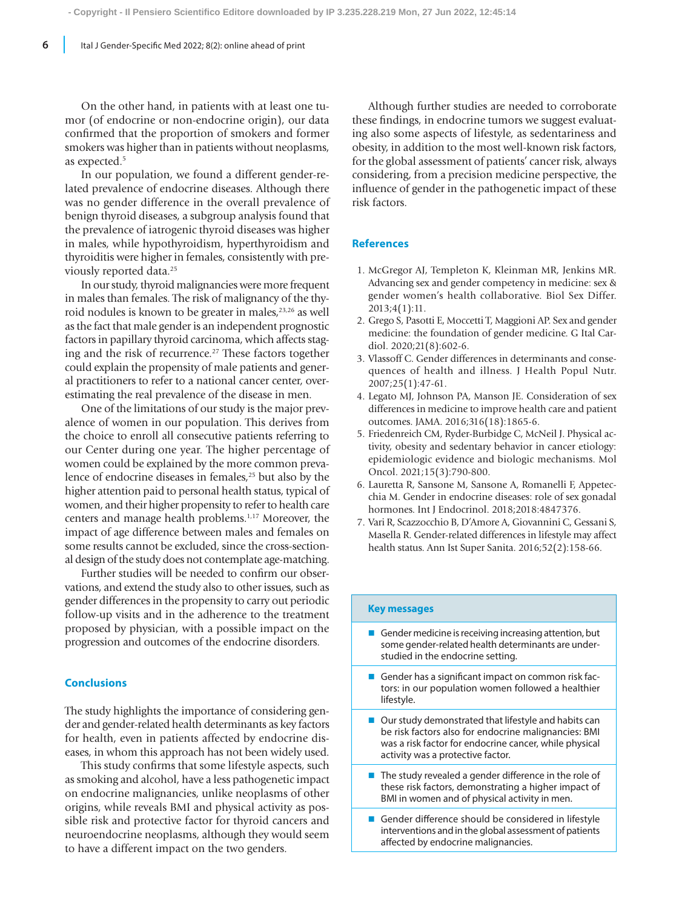On the other hand, in patients with at least one tumor (of endocrine or non-endocrine origin), our data confirmed that the proportion of smokers and former smokers was higher than in patients without neoplasms, as expected.<sup>5</sup>

In our population, we found a different gender-related prevalence of endocrine diseases. Although there was no gender difference in the overall prevalence of benign thyroid diseases, a subgroup analysis found that the prevalence of iatrogenic thyroid diseases was higher in males, while hypothyroidism, hyperthyroidism and thyroiditis were higher in females, consistently with previously reported data.<sup>25</sup>

In our study, thyroid malignancies were more frequent in males than females. The risk of malignancy of the thyroid nodules is known to be greater in males,<sup>23,26</sup> as well as the fact that male gender is an independent prognostic factors in papillary thyroid carcinoma, which affects staging and the risk of recurrence.<sup>27</sup> These factors together could explain the propensity of male patients and general practitioners to refer to a national cancer center, overestimating the real prevalence of the disease in men.

One of the limitations of our study is the major prevalence of women in our population. This derives from the choice to enroll all consecutive patients referring to our Center during one year. The higher percentage of women could be explained by the more common prevalence of endocrine diseases in females,<sup>25</sup> but also by the higher attention paid to personal health status, typical of women, and their higher propensity to refer to health care centers and manage health problems.1,17 Moreover, the impact of age difference between males and females on some results cannot be excluded, since the cross-sectional design of the study does not contemplate age-matching.

Further studies will be needed to confirm our observations, and extend the study also to other issues, such as gender differences in the propensity to carry out periodic follow-up visits and in the adherence to the treatment proposed by physician, with a possible impact on the progression and outcomes of the endocrine disorders.

## **Conclusions**

The study highlights the importance of considering gender and gender-related health determinants as key factors for health, even in patients affected by endocrine diseases, in whom this approach has not been widely used.

This study confirms that some lifestyle aspects, such as smoking and alcohol, have a less pathogenetic impact on endocrine malignancies, unlike neoplasms of other origins, while reveals BMI and physical activity as possible risk and protective factor for thyroid cancers and neuroendocrine neoplasms, although they would seem to have a different impact on the two genders.

Although further studies are needed to corroborate these findings, in endocrine tumors we suggest evaluating also some aspects of lifestyle, as sedentariness and obesity, in addition to the most well-known risk factors, for the global assessment of patients' cancer risk, always considering, from a precision medicine perspective, the influence of gender in the pathogenetic impact of these risk factors.

# **References**

- 1. McGregor AJ, Templeton K, Kleinman MR, Jenkins MR. Advancing sex and gender competency in medicine: sex & gender women's health collaborative. Biol Sex Differ. 2013;4(1):11.
- 2. Grego S, Pasotti E, Moccetti T, Maggioni AP. Sex and gender medicine: the foundation of gender medicine. G Ital Cardiol. 2020;21(8):602-6.
- 3. Vlassoff C. Gender differences in determinants and consequences of health and illness. J Health Popul Nutr. 2007;25(1):47-61.
- 4. Legato MJ, Johnson PA, Manson JE. Consideration of sex differences in medicine to improve health care and patient outcomes. JAMA. 2016;316(18):1865-6.
- 5. Friedenreich CM, Ryder-Burbidge C, McNeil J. Physical activity, obesity and sedentary behavior in cancer etiology: epidemiologic evidence and biologic mechanisms. Mol Oncol. 2021;15(3):790-800.
- 6. Lauretta R, Sansone M, Sansone A, Romanelli F, Appetecchia M. Gender in endocrine diseases: role of sex gonadal hormones. Int J Endocrinol. 2018;2018:4847376.
- 7. Vari R, Scazzocchio B, D'Amore A, Giovannini C, Gessani S, Masella R. Gender-related differences in lifestyle may affect health status. Ann Ist Super Sanita. 2016;52(2):158-66.

## **Key messages**

- Gender medicine is receiving increasing attention, but some gender-related health determinants are understudied in the endocrine setting.
- Gender has a significant impact on common risk factors: in our population women followed a healthier lifestyle.
- $\blacksquare$  Our study demonstrated that lifestyle and habits can be risk factors also for endocrine malignancies: BMI was a risk factor for endocrine cancer, while physical activity was a protective factor.
- $\blacksquare$  The study revealed a gender difference in the role of these risk factors, demonstrating a higher impact of BMI in women and of physical activity in men.
- Gender difference should be considered in lifestyle interventions and in the global assessment of patients affected by endocrine malignancies.